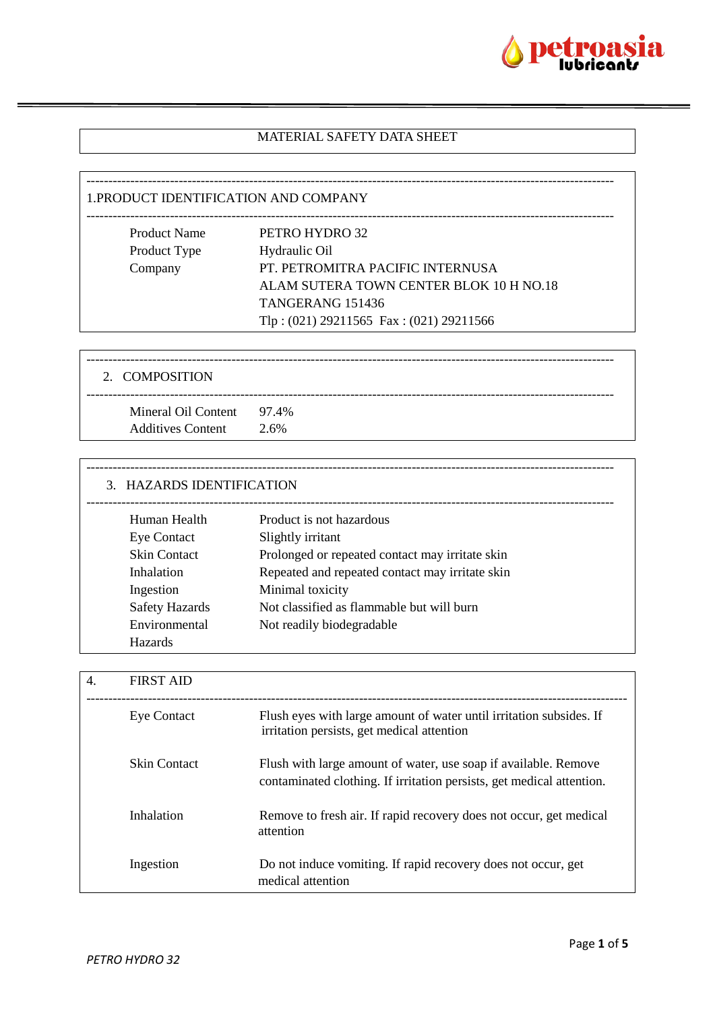

### MATERIAL SAFETY DATA SHEET

------------------------------------------------------------------------------------------------------------------------

#### 1.PRODUCT IDENTIFICATION AND COMPANY

| <b>Product Name</b> | PETRO HYDRO 32                              |
|---------------------|---------------------------------------------|
| Product Type        | Hydraulic Oil                               |
| Company             | PT. PETROMITRA PACIFIC INTERNUSA            |
|                     | ALAM SUTERA TOWN CENTER BLOK 10 H NO.18     |
|                     | TANGERANG 151436                            |
|                     | Tlp: $(021)$ 29211565 Fax: $(021)$ 29211566 |

| 2. COMPOSITION                                        |      |
|-------------------------------------------------------|------|
| Mineral Oil Content 97.4%<br><b>Additives Content</b> | 2.6% |

# ------------------------------------------------------------------------------------------------------------------------ 3. HAZARDS IDENTIFICATION ------------------------------------------------------------------------------------------------------------------------ Human Health Product is not hazardous Eye Contact Slightly irritant Skin Contact Prolonged or repeated contact may irritate skin Inhalation Repeated and repeated contact may irritate skin Ingestion Minimal toxicity Safety Hazards Not classified as flammable but will burn Environmental Not readily biodegradable Hazards

| $\overline{4}$ . | <b>FIRST AID</b>    |                                                                                                                                          |
|------------------|---------------------|------------------------------------------------------------------------------------------------------------------------------------------|
|                  | <b>Eye Contact</b>  | Flush eyes with large amount of water until irritation subsides. If<br>irritation persists, get medical attention                        |
|                  | <b>Skin Contact</b> | Flush with large amount of water, use soap if available. Remove<br>contaminated clothing. If irritation persists, get medical attention. |
|                  | Inhalation          | Remove to fresh air. If rapid recovery does not occur, get medical<br>attention                                                          |
|                  | Ingestion           | Do not induce vomiting. If rapid recovery does not occur, get<br>medical attention                                                       |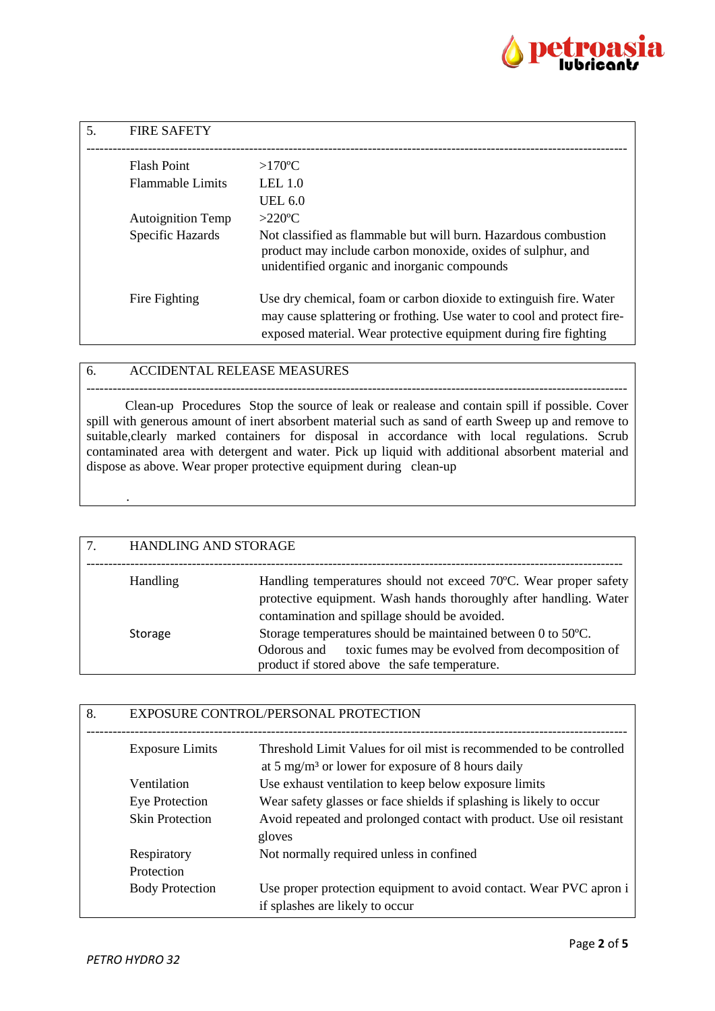

| 5. | <b>FIRE SAFETY</b>       |                                                                                                                                                                                                                  |
|----|--------------------------|------------------------------------------------------------------------------------------------------------------------------------------------------------------------------------------------------------------|
|    | <b>Flash Point</b>       | $>170^{\circ}$ C                                                                                                                                                                                                 |
|    | <b>Flammable Limits</b>  | LEL <sub>1.0</sub>                                                                                                                                                                                               |
|    |                          | UEL 6.0                                                                                                                                                                                                          |
|    | <b>Autoignition Temp</b> | $>220$ °C                                                                                                                                                                                                        |
|    | Specific Hazards         | Not classified as flammable but will burn. Hazardous combustion<br>product may include carbon monoxide, oxides of sulphur, and<br>unidentified organic and inorganic compounds                                   |
|    | Fire Fighting            | Use dry chemical, foam or carbon dioxide to extinguish fire. Water<br>may cause splattering or frothing. Use water to cool and protect fire-<br>exposed material. Wear protective equipment during fire fighting |

#### 6. ACCIDENTAL RELEASE MEASURES

--------------------------------------------------------------------------------------------------------------------------- Clean-up Procedures Stop the source of leak or realease and contain spill if possible. Cover spill with generous amount of inert absorbent material such as sand of earth Sweep up and remove to suitable,clearly marked containers for disposal in accordance with local regulations. Scrub contaminated area with detergent and water. Pick up liquid with additional absorbent material and dispose as above. Wear proper protective equipment during clean-up

| 7. | HANDLING AND STORAGE |                                                                                                                                                                                        |
|----|----------------------|----------------------------------------------------------------------------------------------------------------------------------------------------------------------------------------|
|    | Handling             | Handling temperatures should not exceed 70°C. Wear proper safety<br>protective equipment. Wash hands thoroughly after handling. Water<br>contamination and spillage should be avoided. |
|    | Storage              | Storage temperatures should be maintained between 0 to 50°C.<br>toxic fumes may be evolved from decomposition of<br>Odorous and<br>product if stored above the safe temperature.       |

| 8. | EXPOSURE CONTROL/PERSONAL PROTECTION |                                                                                                                                      |
|----|--------------------------------------|--------------------------------------------------------------------------------------------------------------------------------------|
|    | <b>Exposure Limits</b>               | Threshold Limit Values for oil mist is recommended to be controlled<br>at 5 mg/m <sup>3</sup> or lower for exposure of 8 hours daily |
|    | Ventilation                          | Use exhaust ventilation to keep below exposure limits                                                                                |
|    | Eye Protection                       | Wear safety glasses or face shields if splashing is likely to occur                                                                  |
|    | <b>Skin Protection</b>               | Avoid repeated and prolonged contact with product. Use oil resistant<br>gloves                                                       |
|    | Respiratory                          | Not normally required unless in confined                                                                                             |
|    | Protection                           |                                                                                                                                      |
|    | <b>Body Protection</b>               | Use proper protection equipment to avoid contact. Wear PVC apron i<br>if splashes are likely to occur                                |

.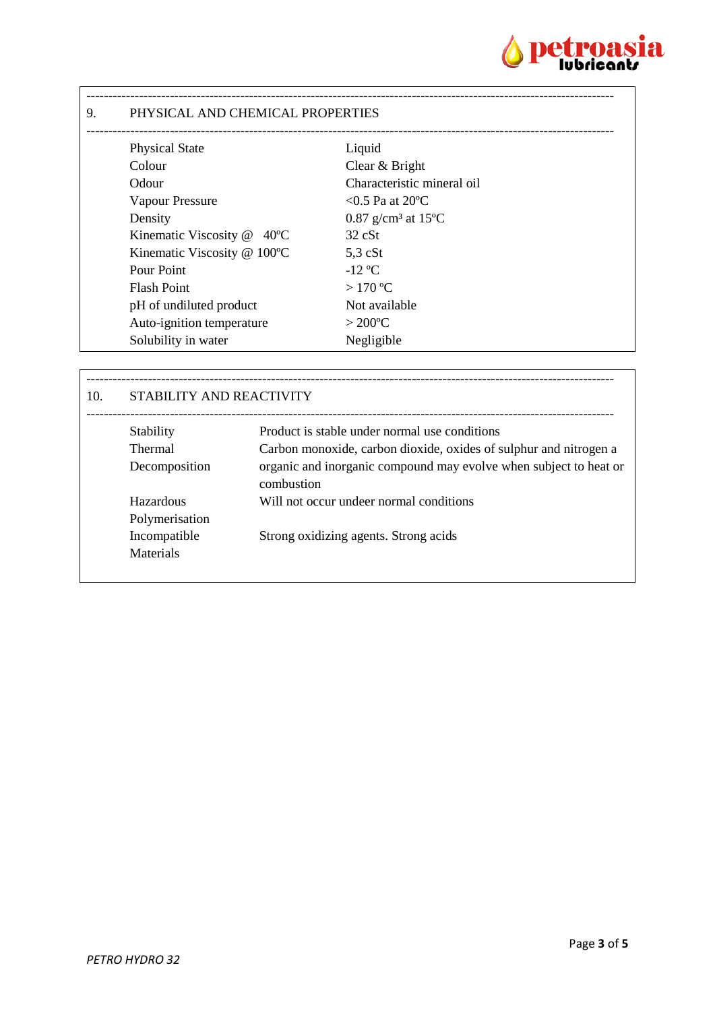

### 9. PHYSICAL AND CHEMICAL PROPERTIES

| <b>Physical State</b>                     | Liquid                                      |
|-------------------------------------------|---------------------------------------------|
| Colour                                    | Clear & Bright                              |
| Odour                                     | Characteristic mineral oil                  |
| Vapour Pressure                           | $< 0.5$ Pa at 20 °C                         |
| Density                                   | 0.87 g/cm <sup>3</sup> at 15 <sup>o</sup> C |
| Kinematic Viscosity $@$ 40 <sup>o</sup> C | $32 \text{ cSt}$                            |
| Kinematic Viscosity @ 100°C               | $5.3 \text{ cSt}$                           |
| Pour Point                                | $-12$ °C                                    |
| <b>Flash Point</b>                        | $>170^{\circ}$ C                            |
| pH of undiluted product                   | Not available                               |
| Auto-ignition temperature                 | $>200^{\circ}$ C                            |
| Solubility in water                       | Negligible                                  |

------------------------------------------------------------------------------------------------------------------------

| 10. | STABILITY AND REACTIVITY    |                                                                                                                    |
|-----|-----------------------------|--------------------------------------------------------------------------------------------------------------------|
|     | Stability<br><b>Thermal</b> | Product is stable under normal use conditions<br>Carbon monoxide, carbon dioxide, oxides of sulphur and nitrogen a |
|     | Decomposition               | organic and inorganic compound may evolve when subject to heat or<br>combustion                                    |
|     | Hazardous<br>Polymerisation | Will not occur undeer normal conditions                                                                            |
|     | Incompatible<br>Materials   | Strong oxidizing agents. Strong acids                                                                              |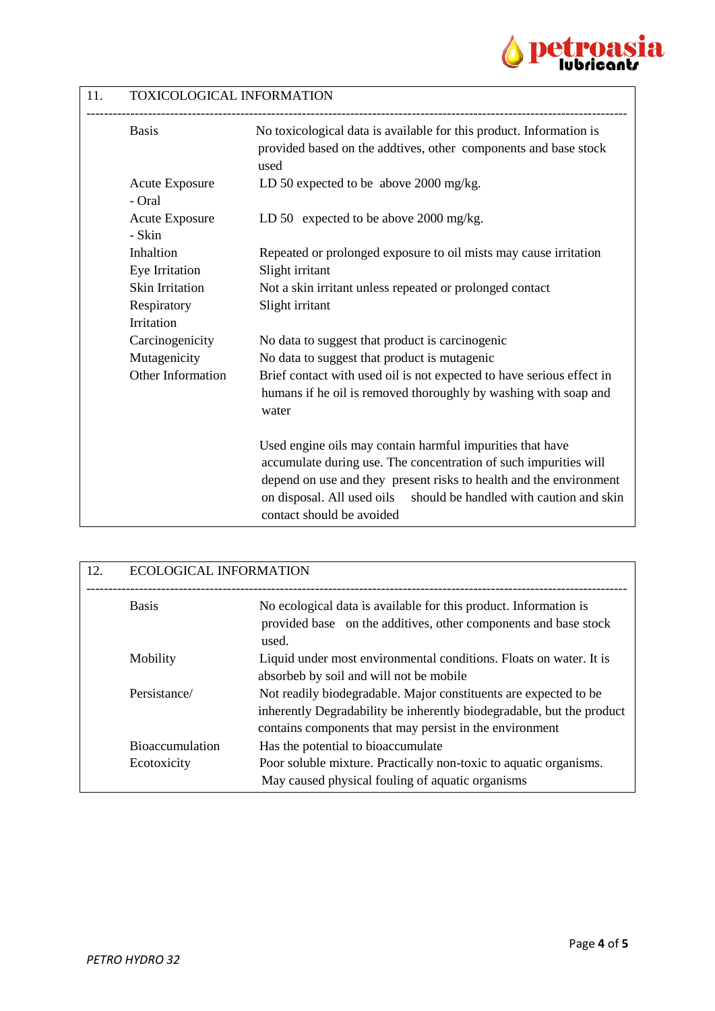

# 11. TOXICOLOGICAL INFORMATION

| <b>Basis</b>                    | No toxicological data is available for this product. Information is<br>provided based on the addtives, other components and base stock<br>used |
|---------------------------------|------------------------------------------------------------------------------------------------------------------------------------------------|
| <b>Acute Exposure</b><br>- Oral | LD 50 expected to be above 2000 mg/kg.                                                                                                         |
| <b>Acute Exposure</b><br>- Skin | LD 50 expected to be above 2000 mg/kg.                                                                                                         |
| Inhaltion                       | Repeated or prolonged exposure to oil mists may cause irritation                                                                               |
| Eye Irritation                  | Slight irritant                                                                                                                                |
| <b>Skin Irritation</b>          | Not a skin irritant unless repeated or prolonged contact                                                                                       |
| Respiratory                     | Slight irritant                                                                                                                                |
| Irritation                      |                                                                                                                                                |
| Carcinogenicity                 | No data to suggest that product is carcinogenic                                                                                                |
| Mutagenicity                    | No data to suggest that product is mutagenic                                                                                                   |
| Other Information               | Brief contact with used oil is not expected to have serious effect in                                                                          |
|                                 | humans if he oil is removed thoroughly by washing with soap and<br>water                                                                       |
|                                 | Used engine oils may contain harmful impurities that have                                                                                      |
|                                 | accumulate during use. The concentration of such impurities will                                                                               |
|                                 | depend on use and they present risks to health and the environment                                                                             |
|                                 | on disposal. All used oils<br>should be handled with caution and skin<br>contact should be avoided                                             |

| 12. | <b>ECOLOGICAL INFORMATION</b>         |                                                                                                                                                                                                      |
|-----|---------------------------------------|------------------------------------------------------------------------------------------------------------------------------------------------------------------------------------------------------|
|     | <b>Basis</b>                          | No ecological data is available for this product. Information is<br>provided base on the additives, other components and base stock<br>used.                                                         |
|     | Mobility                              | Liquid under most environmental conditions. Floats on water. It is<br>absorbeb by soil and will not be mobile                                                                                        |
|     | Persistance/                          | Not readily biodegradable. Major constituents are expected to be<br>inherently Degradability be inherently biodegradable, but the product<br>contains components that may persist in the environment |
|     | <b>Bioaccumulation</b><br>Ecotoxicity | Has the potential to bioaccumulate<br>Poor soluble mixture. Practically non-toxic to aquatic organisms.<br>May caused physical fouling of aquatic organisms                                          |